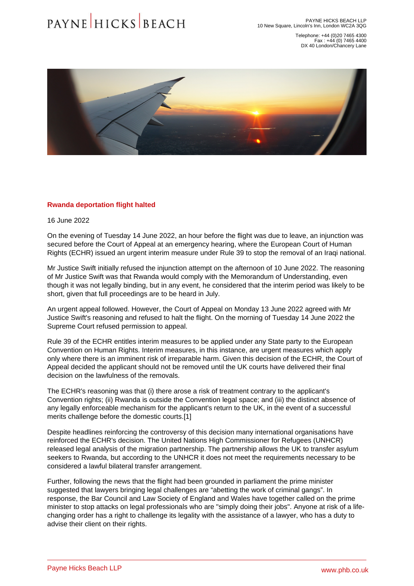Telephone: +44 (0)20 7465 4300 Fax : +44 (0) 7465 4400 DX 40 London/Chancery Lane

## <span id="page-0-0"></span>Rwanda deportation flight halted

16 June 2022

On the evening of Tuesday 14 June 2022, an hour before the flight was due to leave, an injunction was secured before the Court of Appeal at an emergency hearing, where the European Court of Human Rights (ECHR) issued an urgent interim measure under Rule 39 to stop the removal of an Iraqi national.

Mr Justice Swift initially refused the injunction attempt on the afternoon of 10 June 2022. The reasoning of Mr Justice Swift was that Rwanda would comply with the Memorandum of Understanding, even though it was not legally binding, but in any event, he considered that the interim period was likely to be short, given that full proceedings are to be heard in July.

An urgent appeal followed. However, the Court of Appeal on Monday 13 June 2022 agreed with Mr Justice Swift's reasoning and refused to halt the flight. On the morning of Tuesday 14 June 2022 the Supreme Court refused permission to appeal.

Rule 39 of the ECHR entitles interim measures to be applied under any State party to the European Convention on Human Rights. Interim measures, in this instance, are urgent measures which apply only where there is an imminent risk of irreparable harm. Given this decision of the ECHR, the Court of Appeal decided the applicant should not be removed until the UK courts have delivered their final decision on the lawfulness of the removals.

The ECHR's reasoning was that (i) there arose a risk of treatment contrary to the applicant's Convention rights; (ii) Rwanda is outside the Convention legal space; and (iii) the distinct absence of any legally enforceable mechanism for the applicant's return to the UK, in the event of a successful merits challenge before the domestic courts.[1]

Despite headlines reinforcing the controversy of this decision many international organisations have reinforced the ECHR's decision. The United Nations High Commissioner for Refugees (UNHCR) released legal analysis of the migration partnership. The partnership allows the UK to transfer asylum seekers to Rwanda, but according to the UNHCR it does not meet the requirements necessary to be considered a lawful bilateral transfer arrangement.

Further, following the news that the flight had been grounded in parliament the prime minister suggested that lawyers bringing legal challenges are "abetting the work of criminal gangs". In response, the Bar Council and Law Society of England and Wales have together called on the prime minister to stop attacks on legal professionals who are "simply doing their jobs". Anyone at risk of a lifechanging order has a right to challenge its legality with the assistance of a lawyer, who has a duty to advise their client on their rights.